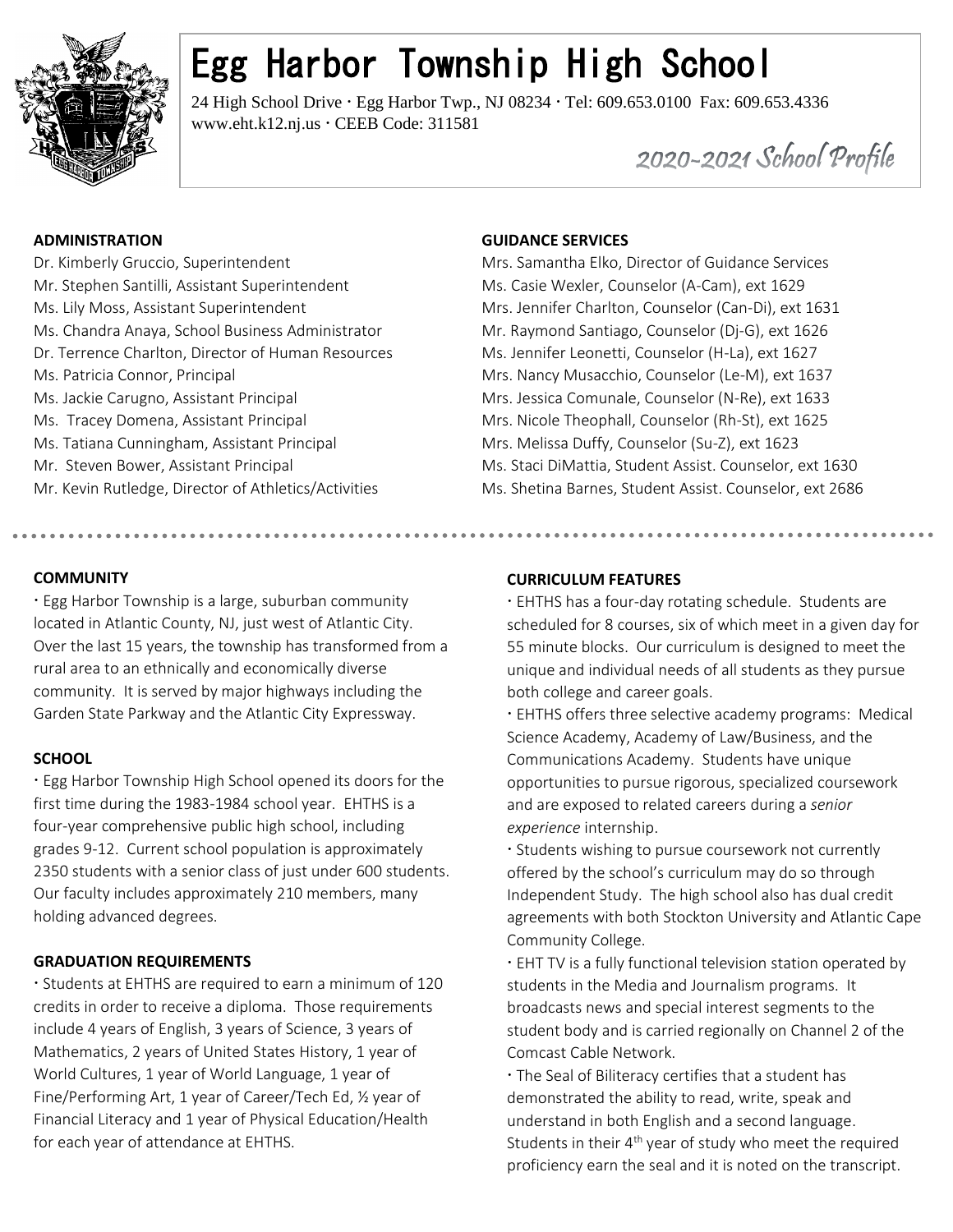

# Egg Harbor Township High School

24 High School Drive Egg Harbor Twp., NJ 08234 Tel: 609.653.0100 Fax: 609.653.4336 www.eht.k12.nj.us · CEEB Code: 311581

2020-2021 School Profile

Dr. Kimberly Gruccio, Superintendent Mrs. Samantha Elko, Director of Guidance Services Mr. Stephen Santilli, Assistant Superintendent Ms. Casie Wexler, Counselor (A-Cam), ext 1629 Ms. Lily Moss, Assistant Superintendent Mrs. Jennifer Charlton, Counselor (Can-Di), ext 1631 Ms. Chandra Anaya, School Business Administrator Mr. Raymond Santiago, Counselor (Dj-G), ext 1626 Dr. Terrence Charlton, Director of Human Resources Ms. Jennifer Leonetti, Counselor (H-La), ext 1627 Ms. Patricia Connor, Principal Mrs. Nancy Musacchio, Counselor (Le-M), ext 1637 Ms. Jackie Carugno, Assistant Principal Mrs. Jessica Comunale, Counselor (N-Re), ext 1633 Mrs. Tracey Domena, Assistant Principal Mrs. Nicole Theophall, Counselor (Rh-St), ext 1625 Ms. Tatiana Cunningham, Assistant Principal Mrs. Melissa Duffy, Counselor (Su-Z), ext 1623 Mr. Steven Bower, Assistant Principal Ms. Staci DiMattia, Student Assist. Counselor, ext 1630

# **COMMUNITY**

 Egg Harbor Township is a large, suburban community located in Atlantic County, NJ, just west of Atlantic City. Over the last 15 years, the township has transformed from a rural area to an ethnically and economically diverse community. It is served by major highways including the Garden State Parkway and the Atlantic City Expressway.

# **SCHOOL**

 Egg Harbor Township High School opened its doors for the first time during the 1983-1984 school year. EHTHS is a four-year comprehensive public high school, including grades 9-12. Current school population is approximately 2350 students with a senior class of just under 600 students. Our faculty includes approximately 210 members, many holding advanced degrees.

# **GRADUATION REQUIREMENTS**

 Students at EHTHS are required to earn a minimum of 120 credits in order to receive a diploma. Those requirements include 4 years of English, 3 years of Science, 3 years of Mathematics, 2 years of United States History, 1 year of World Cultures, 1 year of World Language, 1 year of Fine/Performing Art, 1 year of Career/Tech Ed, ½ year of Financial Literacy and 1 year of Physical Education/Health for each year of attendance at EHTHS.

## **ADMINISTRATION GUIDANCE SERVICES**

Mr. Kevin Rutledge, Director of Athletics/Activities Ms. Shetina Barnes, Student Assist. Counselor, ext 2686

# **CURRICULUM FEATURES**

 EHTHS has a four-day rotating schedule. Students are scheduled for 8 courses, six of which meet in a given day for 55 minute blocks. Our curriculum is designed to meet the unique and individual needs of all students as they pursue both college and career goals.

 EHTHS offers three selective academy programs: Medical Science Academy, Academy of Law/Business, and the Communications Academy. Students have unique opportunities to pursue rigorous, specialized coursework and are exposed to related careers during a *senior experience* internship.

 Students wishing to pursue coursework not currently offered by the school's curriculum may do so through Independent Study. The high school also has dual credit agreements with both Stockton University and Atlantic Cape Community College.

 EHT TV is a fully functional television station operated by students in the Media and Journalism programs. It broadcasts news and special interest segments to the student body and is carried regionally on Channel 2 of the Comcast Cable Network.

 The Seal of Biliteracy certifies that a student has demonstrated the ability to read, write, speak and understand in both English and a second language. Students in their  $4<sup>th</sup>$  year of study who meet the required proficiency earn the seal and it is noted on the transcript.